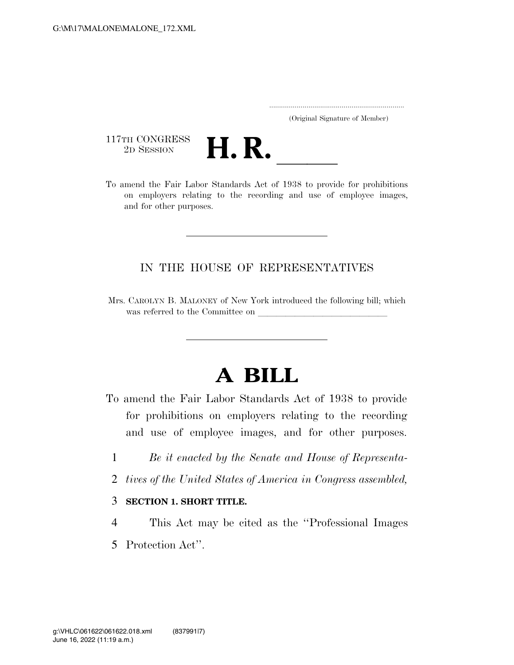..................................................................... (Original Signature of Member)

117TH CONGRESS<br>2D SESSION



117TH CONGRESS<br>
2D SESSION<br>
To amend the Fair Labor Standards Act of 1938 to provide for prohibitions on employers relating to the recording and use of employee images, and for other purposes.

## IN THE HOUSE OF REPRESENTATIVES

Mrs. CAROLYN B. MALONEY of New York introduced the following bill; which was referred to the Committee on

## **A BILL**

To amend the Fair Labor Standards Act of 1938 to provide for prohibitions on employers relating to the recording and use of employee images, and for other purposes.

- 1 *Be it enacted by the Senate and House of Representa-*
- 2 *tives of the United States of America in Congress assembled,*

## 3 **SECTION 1. SHORT TITLE.**

- 4 This Act may be cited as the ''Professional Images
- 5 Protection Act''.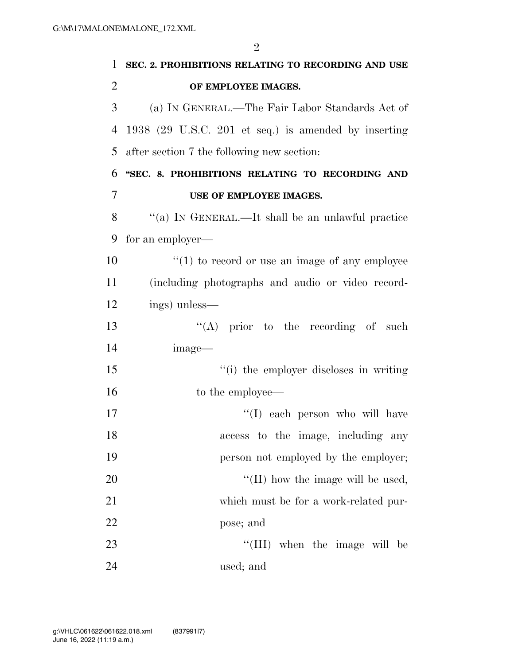**SEC. 2. PROHIBITIONS RELATING TO RECORDING AND USE OF EMPLOYEE IMAGES.**  (a) IN GENERAL.—The Fair Labor Standards Act of 1938 (29 U.S.C. 201 et seq.) is amended by inserting after section 7 the following new section: **''SEC. 8. PROHIBITIONS RELATING TO RECORDING AND USE OF EMPLOYEE IMAGES.**  ''(a) IN GENERAL.—It shall be an unlawful practice for an employer—  $\mathcal{L}(1)$  to record or use an image of any employee (including photographs and audio or video record- ings) unless— 13 ''(A) prior to the recording of such image— ''(i) the employer discloses in writing 16 to the employee— 17 ''(I) each person who will have access to the image, including any **person not employed by the employer;**  $\frac{1}{20}$  The image will be used, which must be for a work-related pur- pose; and 23 ''(III) when the image will be used; and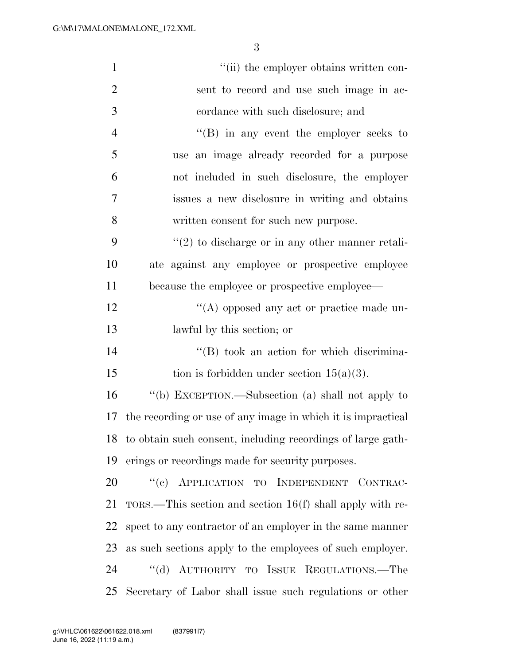| $\mathbf{1}$   | "(ii) the employer obtains written con-                      |
|----------------|--------------------------------------------------------------|
| $\overline{2}$ | sent to record and use such image in ac-                     |
| 3              | cordance with such disclosure; and                           |
| $\overline{4}$ | $\lq\lq$ (B) in any event the employer seeks to              |
| 5              | use an image already recorded for a purpose                  |
| 6              | not included in such disclosure, the employer                |
| 7              | issues a new disclosure in writing and obtains               |
| 8              | written consent for such new purpose.                        |
| 9              | $\lq(2)$ to discharge or in any other manner retali-         |
| 10             | ate against any employee or prospective employee             |
| 11             | because the employee or prospective employee—                |
| 12             | $\lq\lq$ opposed any act or practice made un-                |
| 13             | lawful by this section; or                                   |
| 14             | $\lq\lq (B)$ took an action for which discrimina-            |
| 15             | tion is forbidden under section $15(a)(3)$ .                 |
| 16             | "(b) EXCEPTION.—Subsection (a) shall not apply to            |
| 17             | the recording or use of any image in which it is impractical |
| 18             | to obtain such consent, including recordings of large gath-  |
| 19             | erings or recordings made for security purposes.             |
| 20             | "(c) APPLICATION TO INDEPENDENT CONTRAC-                     |
| 21             | $TORS$ . This section and section 16(f) shall apply with re- |
| 22             | spect to any contractor of an employer in the same manner    |
| 23             | as such sections apply to the employees of such employer.    |
| 24             | "(d) AUTHORITY TO ISSUE REGULATIONS.—The                     |
| 25             | Secretary of Labor shall issue such regulations or other     |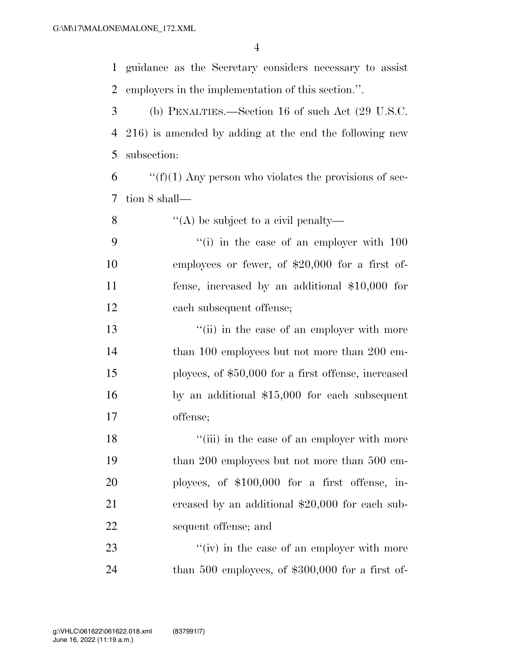guidance as the Secretary considers necessary to assist employers in the implementation of this section.''.

 (b) PENALTIES.—Section 16 of such Act (29 U.S.C. 216) is amended by adding at the end the following new subsection:

 $\mathfrak{f}$  ''(f)(1) Any person who violates the provisions of sec-tion 8 shall—

8  $\langle (A) \rangle$  be subject to a civil penalty—

 ''(i) in the case of an employer with 100 employees or fewer, of \$20,000 for a first of- fense, increased by an additional \$10,000 for each subsequent offense;

13 ''(ii) in the case of an employer with more 14 than 100 employees but not more than 200 em- ployees, of \$50,000 for a first offense, increased by an additional \$15,000 for each subsequent offense;

18 ''(iii) in the case of an employer with more 19 than 200 employees but not more than 500 em- ployees, of \$100,000 for a first offense, in-21 creased by an additional \$20,000 for each sub-sequent offense; and

23  $''(iv)$  in the case of an employer with more than 500 employees, of \$300,000 for a first of